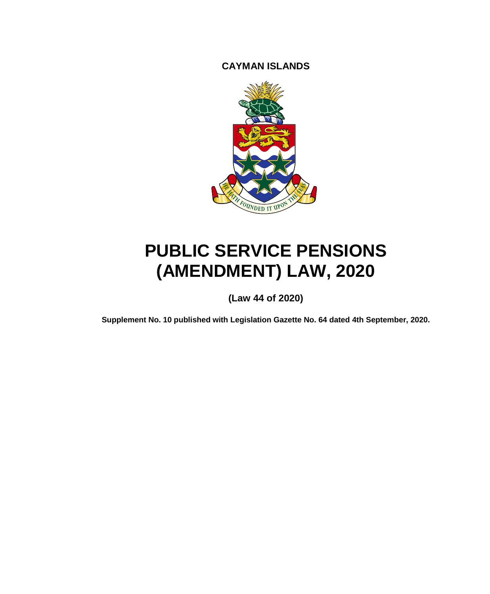**CAYMAN ISLANDS**



# **PUBLIC SERVICE PENSIONS (AMENDMENT) LAW, 2020**

**(Law 44 of 2020)**

**Supplement No. 10 published with Legislation Gazette No. 64 dated 4th September, 2020.**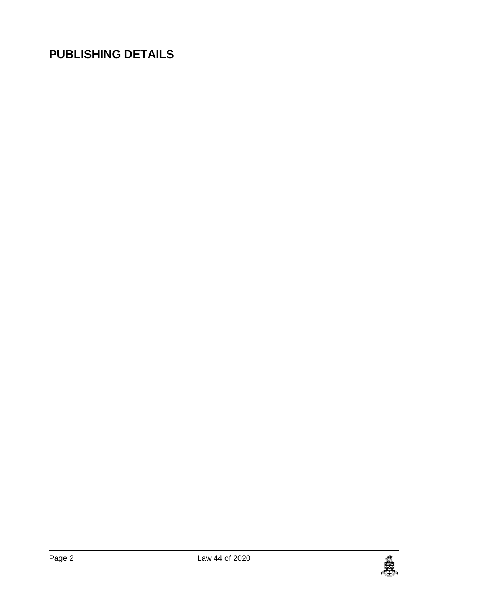### **PUBLISHING DETAILS**

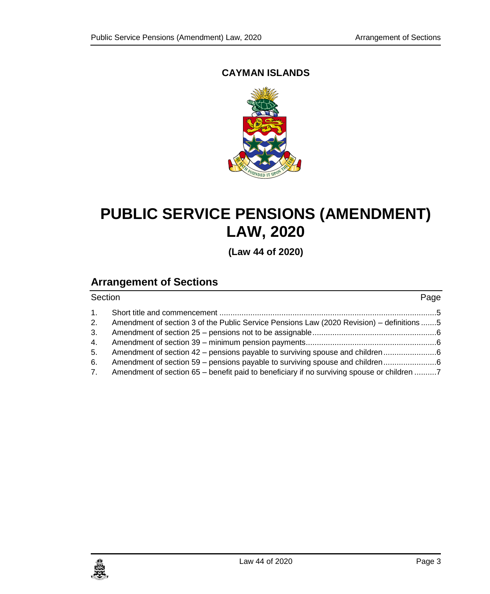### **CAYMAN ISLANDS**



# **PUBLIC SERVICE PENSIONS (AMENDMENT) LAW, 2020**

**(Law 44 of 2020)**

### **Arrangement of Sections**

| Section |                                                                                             | Page |
|---------|---------------------------------------------------------------------------------------------|------|
|         |                                                                                             |      |
| 2.      | Amendment of section 3 of the Public Service Pensions Law (2020 Revision) – definitions 5   |      |
| 3.      |                                                                                             |      |
|         |                                                                                             |      |
|         | 5. Amendment of section 42 – pensions payable to surviving spouse and children              |      |
| 6.      | Amendment of section 59 – pensions payable to surviving spouse and children                 |      |
|         | 7. Amendment of section 65 – benefit paid to beneficiary if no surviving spouse or children |      |

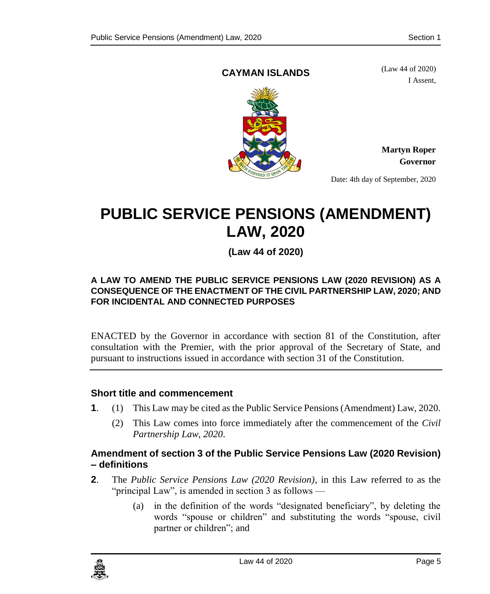#### **CAYMAN ISLANDS**

(Law 44 of 2020) I Assent,



**Martyn Roper Governor**

Date: 4th day of September, 2020

## <span id="page-4-0"></span>**PUBLIC SERVICE PENSIONS (AMENDMENT) LAW, 2020**

**(Law 44 of 2020)**

#### **A LAW TO AMEND THE PUBLIC SERVICE PENSIONS LAW (2020 REVISION) AS A CONSEQUENCE OF THE ENACTMENT OF THE CIVIL PARTNERSHIP LAW, 2020; AND FOR INCIDENTAL AND CONNECTED PURPOSES**

ENACTED by the Governor in accordance with section 81 of the Constitution, after consultation with the Premier, with the prior approval of the Secretary of State, and pursuant to instructions issued in accordance with section 31 of the Constitution.

#### **1. Short title and commencement**

- **1**. (1) This Law may be cited as the Public Service Pensions (Amendment) Law, 2020.
	- (2) This Law comes into force immediately after the commencement of the *Civil Partnership Law, 2020*.

#### <span id="page-4-1"></span>**2. Amendment of section 3 of the Public Service Pensions Law (2020 Revision) – definitions**

- **2**. The *Public Service Pensions Law (2020 Revision)*, in this Law referred to as the "principal Law", is amended in section 3 as follows —
	- (a) in the definition of the words "designated beneficiary", by deleting the words "spouse or children" and substituting the words "spouse, civil partner or children"; and

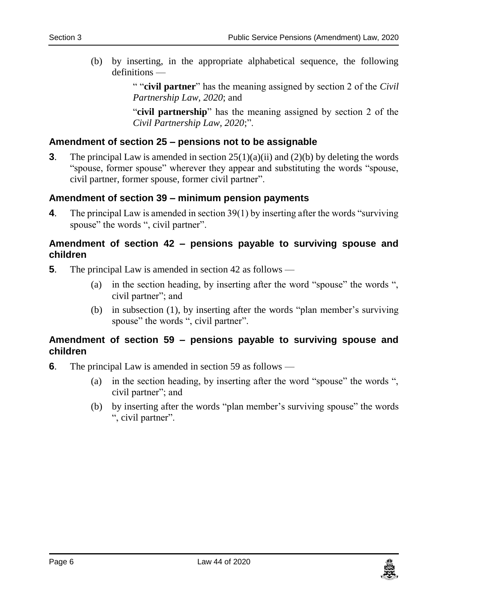(b) by inserting, in the appropriate alphabetical sequence, the following definitions —

> " "**civil partner**" has the meaning assigned by section 2 of the *Civil Partnership Law, 2020*; and

> "**civil partnership**" has the meaning assigned by section 2 of the *Civil Partnership Law, 2020*;".

#### <span id="page-5-0"></span>**3. Amendment of section 25 – pensions not to be assignable**

**3**. The principal Law is amended in section  $25(1)(a)(ii)$  and  $(2)(b)$  by deleting the words "spouse, former spouse" wherever they appear and substituting the words "spouse, civil partner, former spouse, former civil partner".

#### <span id="page-5-1"></span>**4. Amendment of section 39 – minimum pension payments**

**4**. The principal Law is amended in section 39(1) by inserting after the words "surviving spouse" the words ", civil partner".

#### <span id="page-5-2"></span>**5. Amendment of section 42 – pensions payable to surviving spouse and children**

- **5**. The principal Law is amended in section 42 as follows
	- (a) in the section heading, by inserting after the word "spouse" the words ", civil partner"; and
	- (b) in subsection (1), by inserting after the words "plan member's surviving spouse" the words ", civil partner".

#### <span id="page-5-3"></span>**6. Amendment of section 59 – pensions payable to surviving spouse and children**

- **6**. The principal Law is amended in section 59 as follows
	- (a) in the section heading, by inserting after the word "spouse" the words ", civil partner"; and
	- (b) by inserting after the words "plan member's surviving spouse" the words ", civil partner".